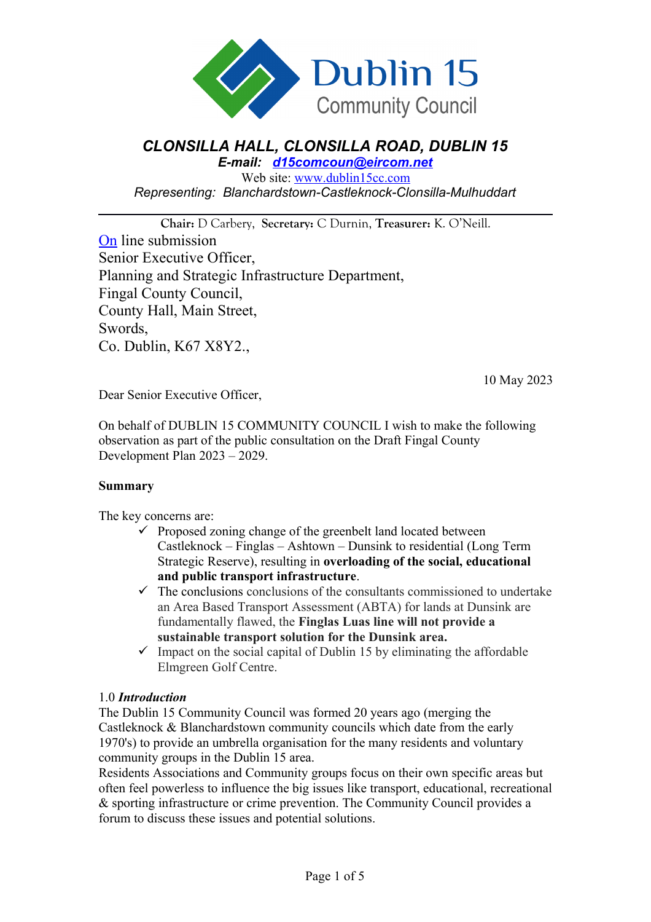

# *CLONSILLA HALL, CLONSILLA ROAD, DUBLIN 15*

*E-mail: [d15comcoun@eircom.net](mailto:d15comcoun@eircom.net)*

Web site: [www.dublin15cc.com](http://www.dublin15cc.com/) *Representing: Blanchardstown-Castleknock-Clonsilla-Mulhuddart*

**Chair:** D Carbery, **Secretary:** C Durnin, **Treasurer:** K. O'Neill. [On](mailto:devplan@fingalcoco.ie) line submission Senior Executive Officer, Planning and Strategic Infrastructure Department, Fingal County Council, County Hall, Main Street, Swords, Co. Dublin, K67 X8Y2.,

10 May 2023

Dear Senior Executive Officer,

On behalf of DUBLIN 15 COMMUNITY COUNCIL I wish to make the following observation as part of the public consultation on the Draft Fingal County Development Plan 2023 – 2029.

#### **Summary**

The key concerns are:

- $\checkmark$  Proposed zoning change of the greenbelt land located between Castleknock – Finglas – Ashtown – Dunsink to residential (Long Term Strategic Reserve), resulting in **overloading of the social, educational and public transport infrastructure**.
- $\checkmark$  The conclusions conclusions of the consultants commissioned to undertake an Area Based Transport Assessment (ABTA) for lands at Dunsink are fundamentally flawed, the **Finglas Luas line will not provide a sustainable transport solution for the Dunsink area.**
- $\checkmark$  Impact on the social capital of Dublin 15 by eliminating the affordable Elmgreen Golf Centre.

#### 1.0 *Introduction*

The Dublin 15 Community Council was formed 20 years ago (merging the Castleknock & Blanchardstown community councils which date from the early 1970's) to provide an umbrella organisation for the many residents and voluntary community groups in the Dublin 15 area.

Residents Associations and Community groups focus on their own specific areas but often feel powerless to influence the big issues like transport, educational, recreational & sporting infrastructure or crime prevention. The Community Council provides a forum to discuss these issues and potential solutions.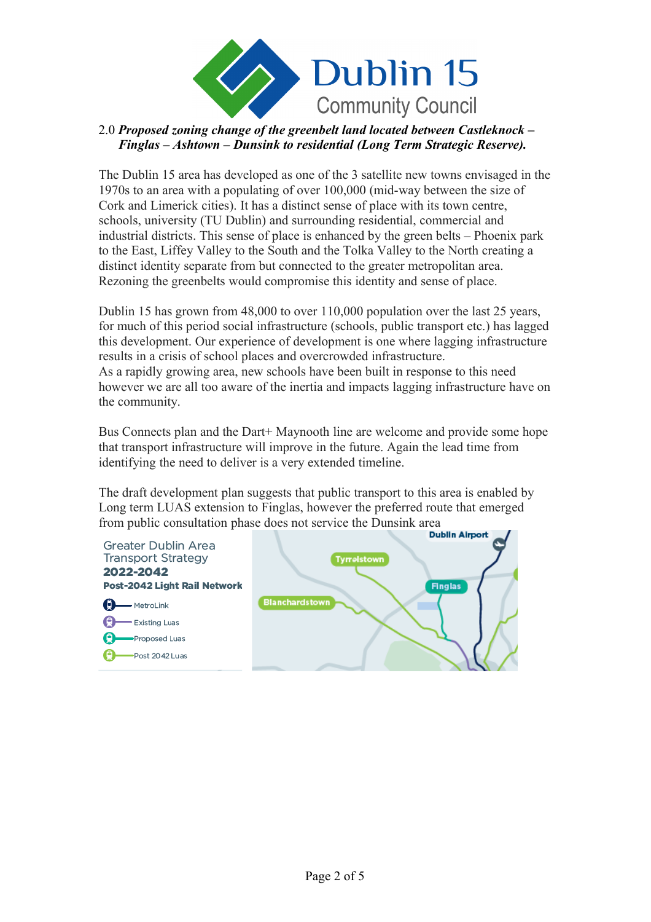

## 2.0 *Proposed zoning change of the greenbelt land located between Castleknock – Finglas – Ashtown – Dunsink to residential (Long Term Strategic Reserve).*

The Dublin 15 area has developed as one of the 3 satellite new towns envisaged in the 1970s to an area with a populating of over 100,000 (mid-way between the size of Cork and Limerick cities). It has a distinct sense of place with its town centre, schools, university (TU Dublin) and surrounding residential, commercial and industrial districts. This sense of place is enhanced by the green belts – Phoenix park to the East, Liffey Valley to the South and the Tolka Valley to the North creating a distinct identity separate from but connected to the greater metropolitan area. Rezoning the greenbelts would compromise this identity and sense of place.

Dublin 15 has grown from 48,000 to over 110,000 population over the last 25 years, for much of this period social infrastructure (schools, public transport etc.) has lagged this development. Our experience of development is one where lagging infrastructure results in a crisis of school places and overcrowded infrastructure. As a rapidly growing area, new schools have been built in response to this need however we are all too aware of the inertia and impacts lagging infrastructure have on the community.

Bus Connects plan and the Dart+ Maynooth line are welcome and provide some hope that transport infrastructure will improve in the future. Again the lead time from identifying the need to deliver is a very extended timeline.

The draft development plan suggests that public transport to this area is enabled by Long term LUAS extension to Finglas, however the preferred route that emerged from public consultation phase does not service the Dunsink area **Dublin Airport** 

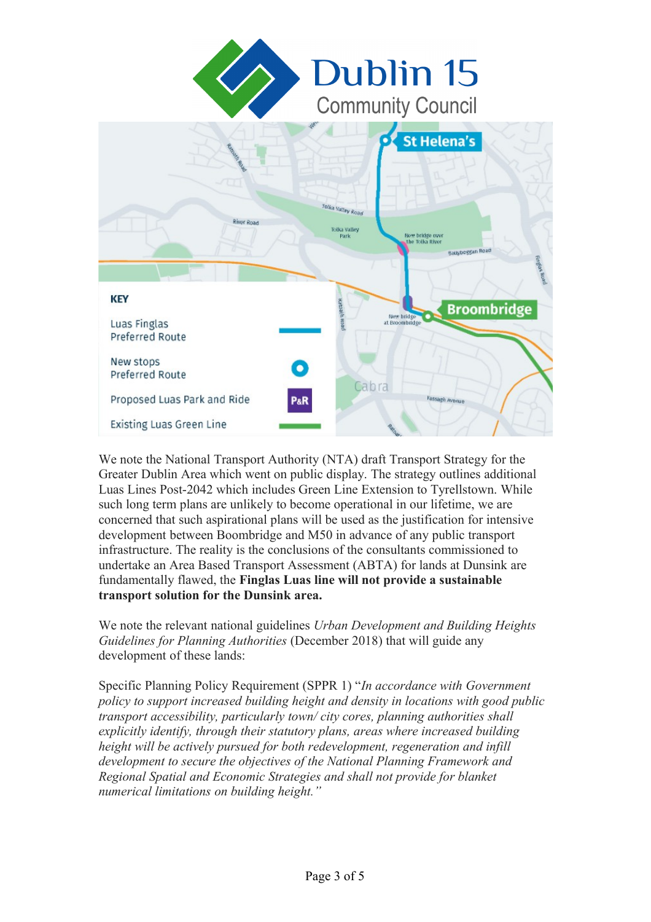



We note the National Transport Authority (NTA) draft Transport Strategy for the Greater Dublin Area which went on public display. The strategy outlines additional Luas Lines Post-2042 which includes Green Line Extension to Tyrellstown. While such long term plans are unlikely to become operational in our lifetime, we are concerned that such aspirational plans will be used as the justification for intensive development between Boombridge and M50 in advance of any public transport infrastructure. The reality is the conclusions of the consultants commissioned to undertake an Area Based Transport Assessment (ABTA) for lands at Dunsink are fundamentally flawed, the **Finglas Luas line will not provide a sustainable transport solution for the Dunsink area.**

We note the relevant national guidelines *Urban Development and Building Heights Guidelines for Planning Authorities* (December 2018) that will guide any development of these lands:

Specific Planning Policy Requirement (SPPR 1) "*In accordance with Government policy to support increased building height and density in locations with good public transport accessibility, particularly town/ city cores, planning authorities shall explicitly identify, through their statutory plans, areas where increased building height will be actively pursued for both redevelopment, regeneration and infill development to secure the objectives of the National Planning Framework and Regional Spatial and Economic Strategies and shall not provide for blanket numerical limitations on building height."*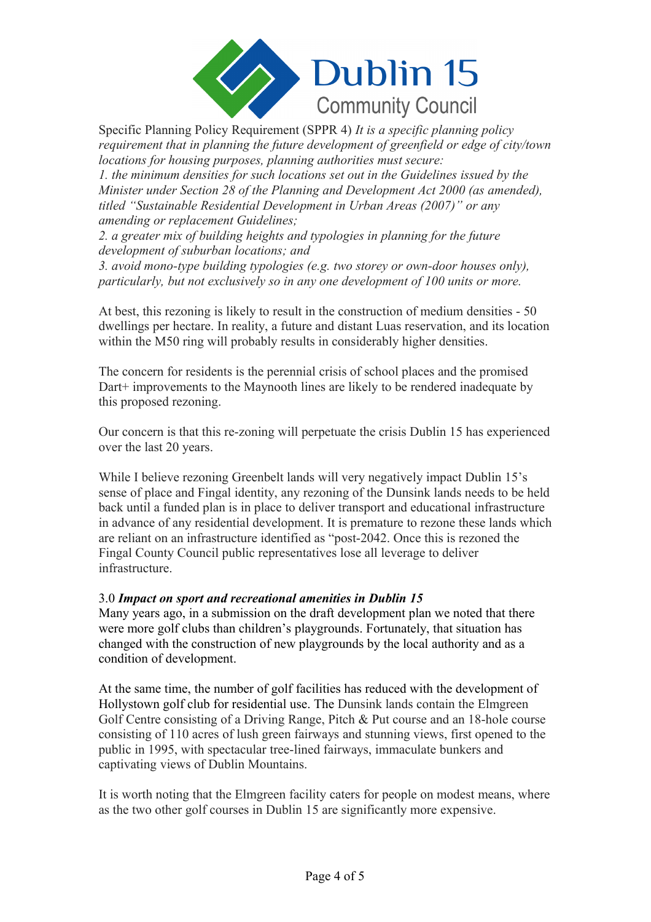

*requirement that in planning the future development of greenfield or edge of city/town locations for housing purposes, planning authorities must secure: 1. the minimum densities for such locations set out in the Guidelines issued by the* 

*Minister under Section 28 of the Planning and Development Act 2000 (as amended), titled "Sustainable Residential Development in Urban Areas (2007)" or any amending or replacement Guidelines;*

*2. a greater mix of building heights and typologies in planning for the future development of suburban locations; and*

*3. avoid mono-type building typologies (e.g. two storey or own-door houses only), particularly, but not exclusively so in any one development of 100 units or more.*

At best, this rezoning is likely to result in the construction of medium densities - 50 dwellings per hectare. In reality, a future and distant Luas reservation, and its location within the M50 ring will probably results in considerably higher densities.

The concern for residents is the perennial crisis of school places and the promised Dart+ improvements to the Maynooth lines are likely to be rendered inadequate by this proposed rezoning.

Our concern is that this re-zoning will perpetuate the crisis Dublin 15 has experienced over the last 20 years.

While I believe rezoning Greenbelt lands will very negatively impact Dublin 15's sense of place and Fingal identity, any rezoning of the Dunsink lands needs to be held back until a funded plan is in place to deliver transport and educational infrastructure in advance of any residential development. It is premature to rezone these lands which are reliant on an infrastructure identified as "post-2042. Once this is rezoned the Fingal County Council public representatives lose all leverage to deliver infrastructure.

### 3.0 *Impact on sport and recreational amenities in Dublin 15*

Many years ago, in a submission on the draft development plan we noted that there were more golf clubs than children's playgrounds. Fortunately, that situation has changed with the construction of new playgrounds by the local authority and as a condition of development.

At the same time, the number of golf facilities has reduced with the development of Hollystown golf club for residential use. The Dunsink lands contain the Elmgreen Golf Centre consisting of a Driving Range, Pitch & Put course and an 18-hole course consisting of 110 acres of lush green fairways and stunning views, first opened to the public in 1995, with spectacular tree-lined fairways, immaculate bunkers and captivating views of Dublin Mountains.

It is worth noting that the Elmgreen facility caters for people on modest means, where as the two other golf courses in Dublin 15 are significantly more expensive.